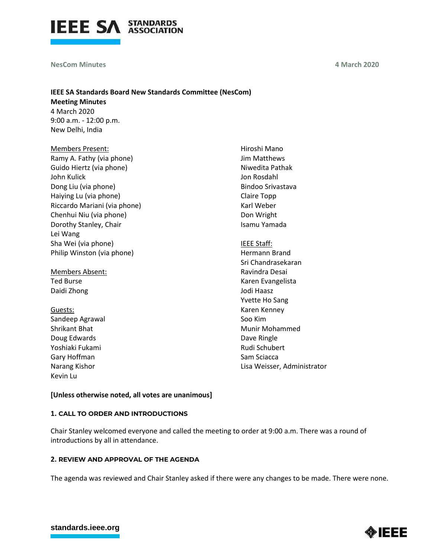

**NesCom Minutes** 

New Delhi, India

**4 March 2020**

# **IEEE SA Standards Board New Standards Committee (NesCom) Meeting Minutes** 4 March 2020 9:00 a.m. - 12:00 p.m.

Members Present: Ramy A. Fathy (via phone) Guido Hiertz (via phone) John Kulick Dong Liu (via phone) Haiying Lu (via phone) Riccardo Mariani (via phone) Chenhui Niu (via phone) Dorothy Stanley, Chair Lei Wang Sha Wei (via phone) Philip Winston (via phone)

Members Absent: Ted Burse Daidi Zhong

Guests: Sandeep Agrawal Shrikant Bhat Doug Edwards Yoshiaki Fukami Gary Hoffman Narang Kishor Kevin Lu

Hiroshi Mano Jim Matthews Niwedita Pathak Jon Rosdahl Bindoo Srivastava Claire Topp Karl Weber Don Wright Isamu Yamada

IEEE Staff: Hermann Brand Sri Chandrasekaran Ravindra Desai Karen Evangelista Jodi Haasz Yvette Ho Sang Karen Kenney Soo Kim Munir Mohammed Dave Ringle Rudi Schubert Sam Sciacca Lisa Weisser, Administrator

**[Unless otherwise noted, all votes are unanimous]**

## **1. CALL TO ORDER AND INTRODUCTIONS**

Chair Stanley welcomed everyone and called the meeting to order at 9:00 a.m. There was a round of introductions by all in attendance.

## **2. REVIEW AND APPROVAL OF THE AGENDA**

The agenda was reviewed and Chair Stanley asked if there were any changes to be made. There were none.

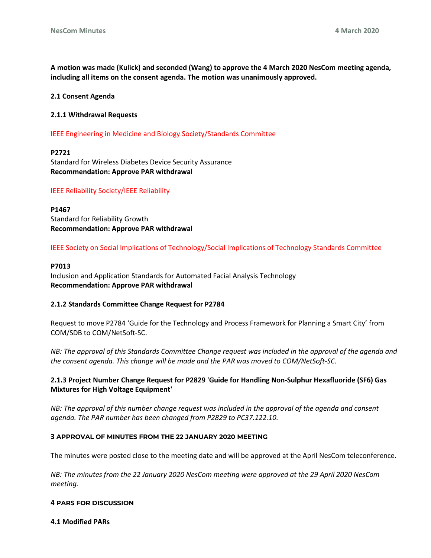**A motion was made (Kulick) and seconded (Wang) to approve the 4 March 2020 NesCom meeting agenda, including all items on the consent agenda. The motion was unanimously approved.**

#### **2.1 Consent Agenda**

#### **2.1.1 Withdrawal Requests**

IEEE Engineering in Medicine and Biology Society/Standards Committee

#### **P2721**

Standard for Wireless Diabetes Device Security Assurance **Recommendation: Approve PAR withdrawal**

#### IEEE Reliability Society/IEEE Reliability

**P1467** Standard for Reliability Growth **Recommendation: Approve PAR withdrawal**

IEEE Society on Social Implications of Technology/Social Implications of Technology Standards Committee

#### **P7013**

Inclusion and Application Standards for Automated Facial Analysis Technology **Recommendation: Approve PAR withdrawal**

### **2.1.2 Standards Committee Change Request for P2784**

Request to move P2784 'Guide for the Technology and Process Framework for Planning a Smart City' from COM/SDB to COM/NetSoft-SC.

*NB: The approval of this Standards Committee Change request was included in the approval of the agenda and the consent agenda. This change will be made and the PAR was moved to COM/NetSoft-SC.* 

## **2.1.3 Project Number Change Request for P2829 'Guide for Handling Non-Sulphur Hexafluoride (SF6) Gas Mixtures for High Voltage Equipment'**

*NB: The approval of this number change request was included in the approval of the agenda and consent agenda. The PAR number has been changed from P2829 to PC37.122.10.*

#### **3 APPROVAL OF MINUTES FROM THE 22 JANUARY 2020 MEETING**

The minutes were posted close to the meeting date and will be approved at the April NesCom teleconference.

*NB: The minutes from the 22 January 2020 NesCom meeting were approved at the 29 April 2020 NesCom meeting.* 

#### **4 PARS FOR DISCUSSION**

**4.1 Modified PARs**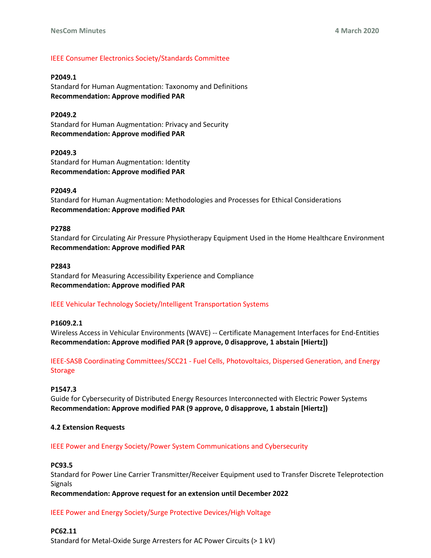### IEEE Consumer Electronics Society/Standards Committee

### **P2049.1**

Standard for Human Augmentation: Taxonomy and Definitions **Recommendation: Approve modified PAR**

### **P2049.2**

Standard for Human Augmentation: Privacy and Security **Recommendation: Approve modified PAR**

### **P2049.3**

Standard for Human Augmentation: Identity **Recommendation: Approve modified PAR**

### **P2049.4**

Standard for Human Augmentation: Methodologies and Processes for Ethical Considerations **Recommendation: Approve modified PAR**

### **P2788**

Standard for Circulating Air Pressure Physiotherapy Equipment Used in the Home Healthcare Environment **Recommendation: Approve modified PAR**

### **P2843**

Standard for Measuring Accessibility Experience and Compliance **Recommendation: Approve modified PAR**

## IEEE Vehicular Technology Society/Intelligent Transportation Systems

### **P1609.2.1**

Wireless Access in Vehicular Environments (WAVE) -- Certificate Management Interfaces for End-Entities **Recommendation: Approve modified PAR (9 approve, 0 disapprove, 1 abstain [Hiertz])**

# IEEE-SASB Coordinating Committees/SCC21 - Fuel Cells, Photovoltaics, Dispersed Generation, and Energy Storage

### **P1547.3**

Guide for Cybersecurity of Distributed Energy Resources Interconnected with Electric Power Systems **Recommendation: Approve modified PAR (9 approve, 0 disapprove, 1 abstain [Hiertz])**

### **4.2 Extension Requests**

### IEEE Power and Energy Society/Power System Communications and Cybersecurity

### **PC93.5**

Standard for Power Line Carrier Transmitter/Receiver Equipment used to Transfer Discrete Teleprotection Signals

**Recommendation: Approve request for an extension until December 2022**

IEEE Power and Energy Society/Surge Protective Devices/High Voltage

### **PC62.11**

Standard for Metal-Oxide Surge Arresters for AC Power Circuits (> 1 kV)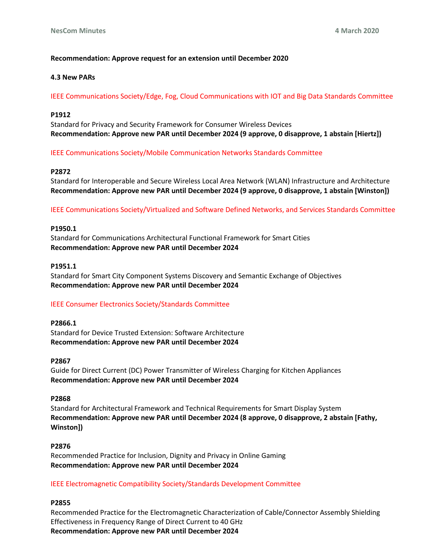# **Recommendation: Approve request for an extension until December 2020**

### **4.3 New PARs**

IEEE Communications Society/Edge, Fog, Cloud Communications with IOT and Big Data Standards Committee

### **P1912**

Standard for Privacy and Security Framework for Consumer Wireless Devices **Recommendation: Approve new PAR until December 2024 (9 approve, 0 disapprove, 1 abstain [Hiertz])**

IEEE Communications Society/Mobile Communication Networks Standards Committee

### **P2872**

Standard for Interoperable and Secure Wireless Local Area Network (WLAN) Infrastructure and Architecture **Recommendation: Approve new PAR until December 2024 (9 approve, 0 disapprove, 1 abstain [Winston])**

IEEE Communications Society/Virtualized and Software Defined Networks, and Services Standards Committee

### **P1950.1**

Standard for Communications Architectural Functional Framework for Smart Cities **Recommendation: Approve new PAR until December 2024**

### **P1951.1**

Standard for Smart City Component Systems Discovery and Semantic Exchange of Objectives **Recommendation: Approve new PAR until December 2024**

## IEEE Consumer Electronics Society/Standards Committee

**P2866.1** Standard for Device Trusted Extension: Software Architecture **Recommendation: Approve new PAR until December 2024**

### **P2867**

Guide for Direct Current (DC) Power Transmitter of Wireless Charging for Kitchen Appliances **Recommendation: Approve new PAR until December 2024**

### **P2868**

Standard for Architectural Framework and Technical Requirements for Smart Display System **Recommendation: Approve new PAR until December 2024 (8 approve, 0 disapprove, 2 abstain [Fathy, Winston])**

### **P2876**

Recommended Practice for Inclusion, Dignity and Privacy in Online Gaming **Recommendation: Approve new PAR until December 2024**

IEEE Electromagnetic Compatibility Society/Standards Development Committee

## **P2855**

Recommended Practice for the Electromagnetic Characterization of Cable/Connector Assembly Shielding Effectiveness in Frequency Range of Direct Current to 40 GHz **Recommendation: Approve new PAR until December 2024**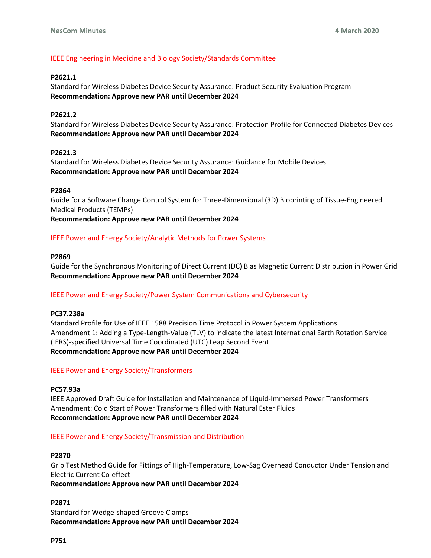# IEEE Engineering in Medicine and Biology Society/Standards Committee

# **P2621.1**

Standard for Wireless Diabetes Device Security Assurance: Product Security Evaluation Program **Recommendation: Approve new PAR until December 2024**

# **P2621.2**

Standard for Wireless Diabetes Device Security Assurance: Protection Profile for Connected Diabetes Devices **Recommendation: Approve new PAR until December 2024**

## **P2621.3**

Standard for Wireless Diabetes Device Security Assurance: Guidance for Mobile Devices **Recommendation: Approve new PAR until December 2024**

## **P2864**

Guide for a Software Change Control System for Three-Dimensional (3D) Bioprinting of Tissue-Engineered Medical Products (TEMPs) **Recommendation: Approve new PAR until December 2024**

# IEEE Power and Energy Society/Analytic Methods for Power Systems

## **P2869**

Guide for the Synchronous Monitoring of Direct Current (DC) Bias Magnetic Current Distribution in Power Grid **Recommendation: Approve new PAR until December 2024**

## IEEE Power and Energy Society/Power System Communications and Cybersecurity

## **PC37.238a**

Standard Profile for Use of IEEE 1588 Precision Time Protocol in Power System Applications Amendment 1: Adding a Type-Length-Value (TLV) to indicate the latest International Earth Rotation Service (IERS)-specified Universal Time Coordinated (UTC) Leap Second Event **Recommendation: Approve new PAR until December 2024**

## IEEE Power and Energy Society/Transformers

## **PC57.93a**

IEEE Approved Draft Guide for Installation and Maintenance of Liquid-Immersed Power Transformers Amendment: Cold Start of Power Transformers filled with Natural Ester Fluids **Recommendation: Approve new PAR until December 2024**

## IEEE Power and Energy Society/Transmission and Distribution

## **P2870**

Grip Test Method Guide for Fittings of High-Temperature, Low-Sag Overhead Conductor Under Tension and Electric Current Co-effect

**Recommendation: Approve new PAR until December 2024**

## **P2871**

Standard for Wedge-shaped Groove Clamps **Recommendation: Approve new PAR until December 2024**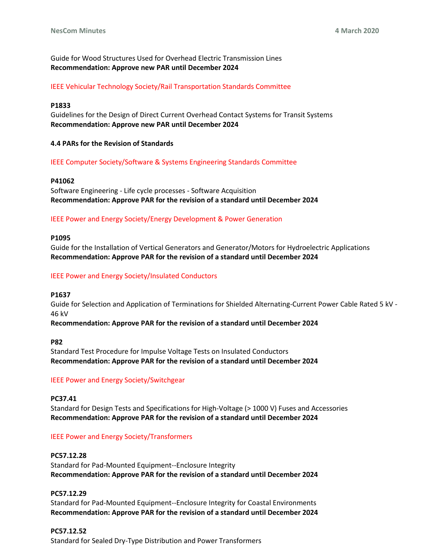# Guide for Wood Structures Used for Overhead Electric Transmission Lines **Recommendation: Approve new PAR until December 2024**

## IEEE Vehicular Technology Society/Rail Transportation Standards Committee

### **P1833**

Guidelines for the Design of Direct Current Overhead Contact Systems for Transit Systems **Recommendation: Approve new PAR until December 2024**

### **4.4 PARs for the Revision of Standards**

### IEEE Computer Society/Software & Systems Engineering Standards Committee

### **P41062**

Software Engineering - Life cycle processes - Software Acquisition **Recommendation: Approve PAR for the revision of a standard until December 2024**

## IEEE Power and Energy Society/Energy Development & Power Generation

### **P1095**

Guide for the Installation of Vertical Generators and Generator/Motors for Hydroelectric Applications **Recommendation: Approve PAR for the revision of a standard until December 2024**

### IEEE Power and Energy Society/Insulated Conductors

### **P1637**

Guide for Selection and Application of Terminations for Shielded Alternating-Current Power Cable Rated 5 kV - 46 kV

## **Recommendation: Approve PAR for the revision of a standard until December 2024**

### **P82**

Standard Test Procedure for Impulse Voltage Tests on Insulated Conductors **Recommendation: Approve PAR for the revision of a standard until December 2024**

## IEEE Power and Energy Society/Switchgear

**PC37.41** Standard for Design Tests and Specifications for High-Voltage (> 1000 V) Fuses and Accessories **Recommendation: Approve PAR for the revision of a standard until December 2024**

## IEEE Power and Energy Society/Transformers

### **PC57.12.28**

Standard for Pad-Mounted Equipment--Enclosure Integrity **Recommendation: Approve PAR for the revision of a standard until December 2024**

## **PC57.12.29**

Standard for Pad-Mounted Equipment--Enclosure Integrity for Coastal Environments **Recommendation: Approve PAR for the revision of a standard until December 2024**

## **PC57.12.52**

Standard for Sealed Dry-Type Distribution and Power Transformers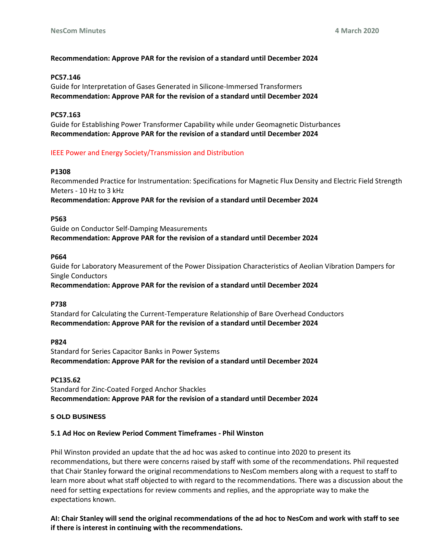## **Recommendation: Approve PAR for the revision of a standard until December 2024**

### **PC57.146**

Guide for Interpretation of Gases Generated in Silicone-Immersed Transformers **Recommendation: Approve PAR for the revision of a standard until December 2024**

### **PC57.163**

Guide for Establishing Power Transformer Capability while under Geomagnetic Disturbances **Recommendation: Approve PAR for the revision of a standard until December 2024**

### IEEE Power and Energy Society/Transmission and Distribution

### **P1308**

Recommended Practice for Instrumentation: Specifications for Magnetic Flux Density and Electric Field Strength Meters - 10 Hz to 3 kHz

**Recommendation: Approve PAR for the revision of a standard until December 2024**

### **P563**

Guide on Conductor Self-Damping Measurements **Recommendation: Approve PAR for the revision of a standard until December 2024**

### **P664**

Guide for Laboratory Measurement of the Power Dissipation Characteristics of Aeolian Vibration Dampers for Single Conductors

## **Recommendation: Approve PAR for the revision of a standard until December 2024**

### **P738**

Standard for Calculating the Current-Temperature Relationship of Bare Overhead Conductors **Recommendation: Approve PAR for the revision of a standard until December 2024**

### **P824**

Standard for Series Capacitor Banks in Power Systems **Recommendation: Approve PAR for the revision of a standard until December 2024**

### **PC135.62**

Standard for Zinc-Coated Forged Anchor Shackles **Recommendation: Approve PAR for the revision of a standard until December 2024**

### **5 OLD BUSINESS**

### **5.1 Ad Hoc on Review Period Comment Timeframes - Phil Winston**

Phil Winston provided an update that the ad hoc was asked to continue into 2020 to present its recommendations, but there were concerns raised by staff with some of the recommendations. Phil requested that Chair Stanley forward the original recommendations to NesCom members along with a request to staff to learn more about what staff objected to with regard to the recommendations. There was a discussion about the need for setting expectations for review comments and replies, and the appropriate way to make the expectations known.

**AI: Chair Stanley will send the original recommendations of the ad hoc to NesCom and work with staff to see if there is interest in continuing with the recommendations.**